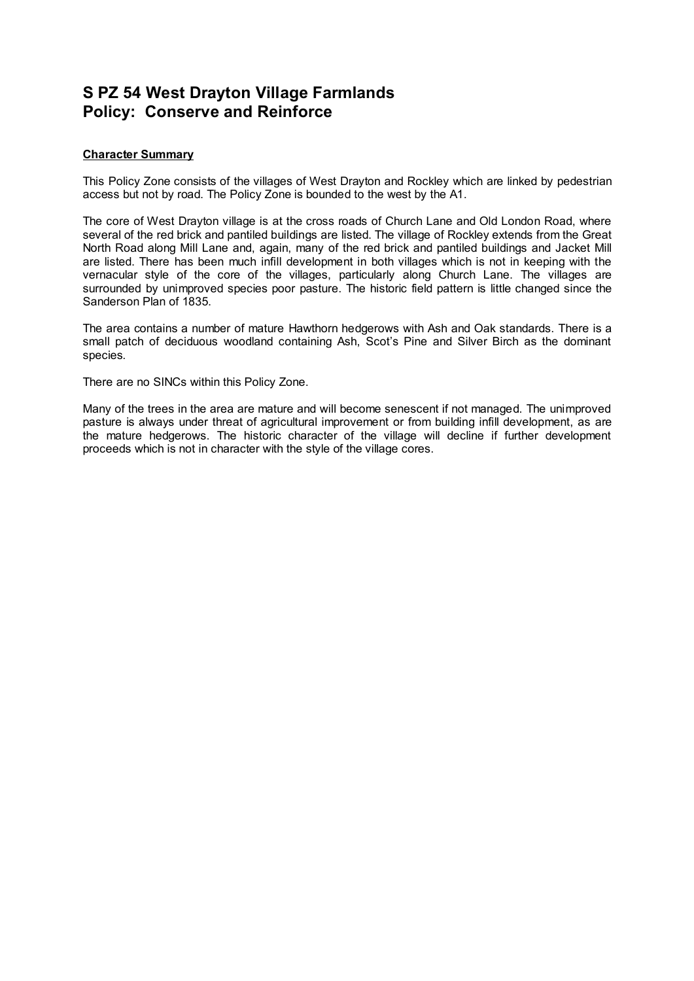# **S PZ 54 West Drayton Village Farmlands Policy: Conserve and Reinforce**

## **Character Summary**

This Policy Zone consists of the villages of West Drayton and Rockley which are linked by pedestrian access but not by road. The Policy Zone is bounded to the west by the A1.

The core of West Drayton village is at the cross roads of Church Lane and Old London Road, where several of the red brick and pantiled buildings are listed. The village of Rockley extends from the Great North Road along Mill Lane and, again, many of the red brick and pantiled buildings and Jacket Mill are listed. There has been much infill development in both villages which is not in keeping with the vernacular style of the core of the villages, particularly along Church Lane. The villages are surrounded by unimproved species poor pasture. The historic field pattern is little changed since the Sanderson Plan of 1835.

The area contains a number of mature Hawthorn hedgerows with Ash and Oak standards. There is a small patch of deciduous woodland containing Ash, Scot's Pine and Silver Birch as the dominant species.

There are no SINCs within this Policy Zone.

Many of the trees in the area are mature and will become senescent if not managed. The unimproved pasture is always under threat of agricultural improvement or from building infill development, as are the mature hedgerows. The historic character of the village will decline if further development proceeds which is not in character with the style of the village cores.